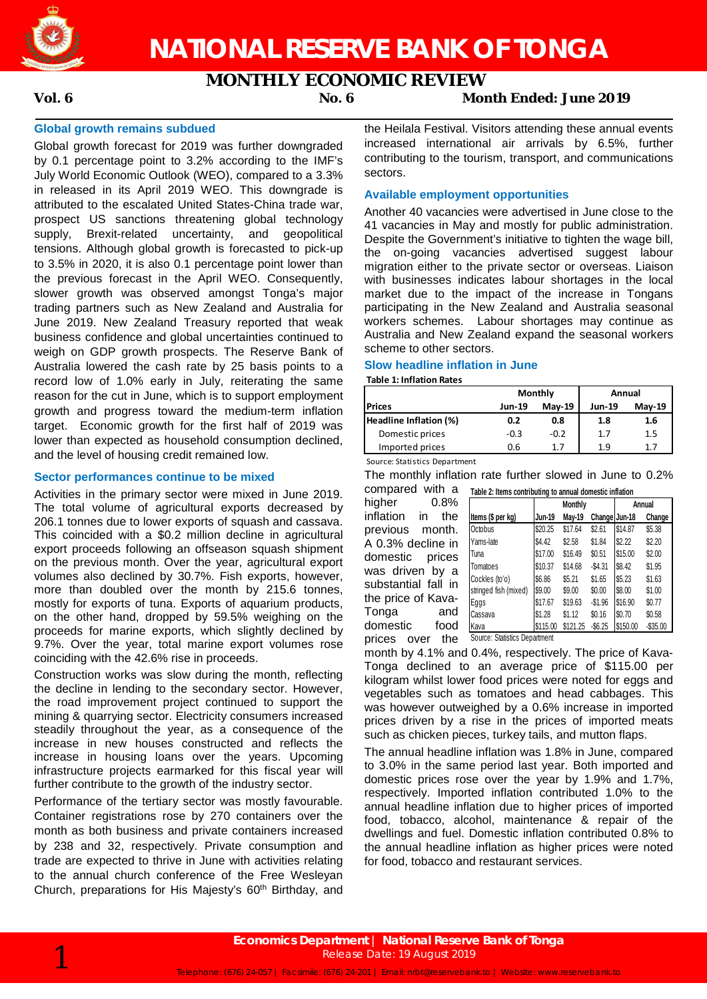

# **MONTHLY ECONOMIC REVIEW**

# **Vol. 6 No. 6 Month Ended: June 2019**

# **Global growth remains subdued**

Global growth forecast for 2019 was further downgraded by 0.1 percentage point to 3.2% according to the IMF's July World Economic Outlook (WEO), compared to a 3.3% in released in its April 2019 WEO. This downgrade is attributed to the escalated United States-China trade war, prospect US sanctions threatening global technology supply, Brexit-related uncertainty, and geopolitical tensions. Although global growth is forecasted to pick-up to 3.5% in 2020, it is also 0.1 percentage point lower than the previous forecast in the April WEO. Consequently, slower growth was observed amongst Tonga's major trading partners such as New Zealand and Australia for June 2019. New Zealand Treasury reported that weak business confidence and global uncertainties continued to weigh on GDP growth prospects. The Reserve Bank of Australia lowered the cash rate by 25 basis points to a record low of 1.0% early in July, reiterating the same reason for the cut in June, which is to support employment growth and progress toward the medium-term inflation target. Economic growth for the first half of 2019 was lower than expected as household consumption declined, and the level of housing credit remained low.

# **Sector performances continue to be mixed**

Activities in the primary sector were mixed in June 2019. The total volume of agricultural exports decreased by 206.1 tonnes due to lower exports of squash and cassava. This coincided with a \$0.2 million decline in agricultural export proceeds following an offseason squash shipment on the previous month. Over the year, agricultural export volumes also declined by 30.7%. Fish exports, however, more than doubled over the month by 215.6 tonnes, mostly for exports of tuna. Exports of aquarium products, on the other hand, dropped by 59.5% weighing on the proceeds for marine exports, which slightly declined by 9.7%. Over the year, total marine export volumes rose coinciding with the 42.6% rise in proceeds.

Construction works was slow during the month, reflecting the decline in lending to the secondary sector. However, the road improvement project continued to support the mining & quarrying sector. Electricity consumers increased steadily throughout the year, as a consequence of the increase in new houses constructed and reflects the increase in housing loans over the years. Upcoming infrastructure projects earmarked for this fiscal year will further contribute to the growth of the industry sector.

Performance of the tertiary sector was mostly favourable. Container registrations rose by 270 containers over the month as both business and private containers increased by 238 and 32, respectively. Private consumption and trade are expected to thrive in June with activities relating to the annual church conference of the Free Wesleyan Church, preparations for His Majesty's 60<sup>th</sup> Birthday, and the Heilala Festival. Visitors attending these annual events increased international air arrivals by 6.5%, further contributing to the tourism, transport, and communications sectors.

# **Available employment opportunities**

Another 40 vacancies were advertised in June close to the 41 vacancies in May and mostly for public administration. Despite the Government's initiative to tighten the wage bill, the on-going vacancies advertised suggest labour migration either to the private sector or overseas. Liaison with businesses indicates labour shortages in the local market due to the impact of the increase in Tongans participating in the New Zealand and Australia seasonal workers schemes. Labour shortages may continue as Australia and New Zealand expand the seasonal workers scheme to other sectors.

### **Slow headline inflation in June**

**Table 1: Inflation Rates**

|                        |               | Monthly       | Annual        |               |
|------------------------|---------------|---------------|---------------|---------------|
| <b>Prices</b>          | <b>Jun-19</b> | <b>Mav-19</b> | <b>Jun-19</b> | <b>Mav-19</b> |
| Headline Inflation (%) | 0.2           | 0.8           | 1.8           | 1.6           |
| Domestic prices        | $-0.3$        | $-0.2$        | 1.7           | 1.5           |
| Imported prices        | 0.6           | 17            | 1.9           |               |
|                        |               |               |               |               |

Source: Statistics Department

The monthly inflation rate further slowed in June to 0.2% compared with a

higher 0.8% inflation in the previous month. A 0.3% decline in domestic prices was driven by a substantial fall in the price of Kava-Tonga and domestic food

|                       |          | Monthly  | Annual        |          |             |
|-----------------------|----------|----------|---------------|----------|-------------|
| Items (\$ per kg)     | Jun-19   | May-19   | Change Jun-18 |          | Change      |
| Octobus               | \$20.25  | \$17.64  | \$2.61        | \$14.87  | \$5.38      |
| Yams-late             | \$4.42   | \$2.58   | \$1.84        | \$2.22   | \$2.20      |
| Tuna                  | \$17.00  | \$16.49  | \$0.51        | \$15.00  | \$2.00      |
| Tomatoes              | \$10.37  | \$14.68  | $-$4.31$      | \$8.42   | \$1.95      |
| Cockles (to'o)        | \$6.86   | \$5.21   | \$1.65        | \$5.23   | \$1.63      |
| stringed fish (mixed) | \$9.00   | \$9.00   | \$0.00        | \$8.00   | \$1.00      |
| Eggs                  | \$17.67  | \$19.63  | $-$1.96$      | \$16.90  | \$0.77      |
| Cassava               | \$1.28   | \$1.12   | \$0.16        | \$0.70   | \$0.58      |
| Kava                  | \$115.00 | \$121.25 | $-$ \$6.25    | \$150.00 | $-$ \$35.00 |

prices over the Source: Statistics Department

month by 4.1% and 0.4%, respectively. The price of Kava-Tonga declined to an average price of \$115.00 per kilogram whilst lower food prices were noted for eggs and vegetables such as tomatoes and head cabbages. This was however outweighed by a 0.6% increase in imported prices driven by a rise in the prices of imported meats such as chicken pieces, turkey tails, and mutton flaps.

The annual headline inflation was 1.8% in June, compared to 3.0% in the same period last year. Both imported and domestic prices rose over the year by 1.9% and 1.7%, respectively. Imported inflation contributed 1.0% to the annual headline inflation due to higher prices of imported food, tobacco, alcohol, maintenance & repair of the dwellings and fuel. Domestic inflation contributed 0.8% to the annual headline inflation as higher prices were noted for food, tobacco and restaurant services.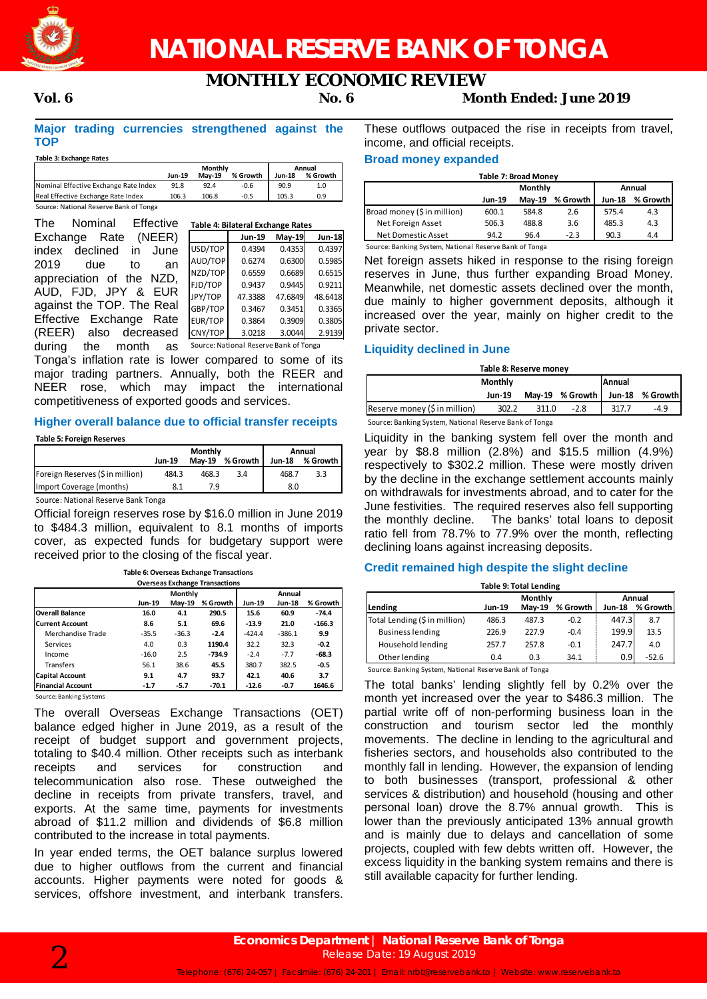

# **NATIONAL RESERVE BANK OF TONGA**

# **MONTHLY ECONOMIC REVIEW**

# **Vol. 6 No. 6 Month Ended: June 2019**

# **Major trading currencies strengthened against the TOP**

### **Table 3: Exchange Rates**

|                                        | Monthly       |               |          | Annual        |          |  |
|----------------------------------------|---------------|---------------|----------|---------------|----------|--|
|                                        | <b>Jun-19</b> | <b>Mav-19</b> | % Growth | <b>Jun-18</b> | % Growth |  |
| Nominal Effective Exchange Rate Index  | 91.8          | 92.4          | $-0.6$   | 90.9          | 1.0      |  |
| Real Effective Exchange Rate Index     | 106.3         | 106.8         | $-0.5$   | 105.3         | 0.9      |  |
| Source: National Reserve Bank of Tonga |               |               |          |               |          |  |

| Effective<br>The<br>Nominal     |         | Table 4: Bilateral Exchange Rates      |          |               |
|---------------------------------|---------|----------------------------------------|----------|---------------|
| (NEER)<br>Exchange Rate         |         | <b>Jun-19</b>                          | $May-19$ | <b>Jun-18</b> |
| declined<br>June<br>index<br>in | USD/TOP | 0.4394                                 | 0.4353   | 0.4397        |
| 2019<br>due<br>to<br>an         | AUD/TOP | 0.6274                                 | 0.6300   | 0.5985        |
| appreciation of the NZD,        | NZD/TOP | 0.6559                                 | 0.6689   | 0.6515        |
|                                 | FJD/TOP | 0.9437                                 | 0.9445   | 0.9211        |
| AUD, FJD, JPY & EUR             | JPY/TOP | 47.3388                                | 47.6849  | 48.6418       |
| against the TOP. The Real       | GBP/TOP | 0.3467                                 | 0.3451   | 0.3365        |
| Effective Exchange Rate         | EUR/TOP | 0.3864                                 | 0.3909   | 0.3805        |
| (REER)<br>also<br>decreased     | CNY/TOP | 3.0218                                 | 3.0044   | 2.9139        |
| divina<br>the menth<br>$\sim$   |         | Source: National Peserve Rank of Tonga |          |               |

during the month as Source: National Reserve Bank of TongaTonga's inflation rate is lower compared to some of its major trading partners. Annually, both the REER and NEER rose, which may impact the international competitiveness of exported goods and services.

## **Higher overall balance due to official transfer receipts**

**Table 5: Foreign Reserves**

|                                  | Monthly       |       |                   | Annual |          |  |
|----------------------------------|---------------|-------|-------------------|--------|----------|--|
|                                  | <b>Jun-19</b> |       | May-19 % Growth I | Jun-18 | % Growth |  |
| Foreign Reserves (\$ in million) | 484.3         | 468.3 | 3.4               | 468.7  | 3.3      |  |
| Import Coverage (months)         |               | 7.9   |                   | 8.0    |          |  |
|                                  |               |       |                   |        |          |  |

Source: National Reserve Bank Tonga

Official foreign reserves rose by \$16.0 million in June 2019 to \$484.3 million, equivalent to 8.1 months of imports cover, as expected funds for budgetary support were received prior to the closing of the fiscal year.

| <b>Overseas Exchange Transactions</b> |         |                |          |               |               |          |  |
|---------------------------------------|---------|----------------|----------|---------------|---------------|----------|--|
|                                       |         | <b>Monthly</b> |          |               |               |          |  |
|                                       | Jun-19  | $May-19$       | % Growth | <b>Jun-19</b> | <b>Jun-18</b> | % Growth |  |
| <b>Overall Balance</b>                | 16.0    | 4.1            | 290.5    | 15.6          | 60.9          | $-74.4$  |  |
| <b>Current Account</b>                | 8.6     | 5.1            | 69.6     | $-13.9$       | 21.0          | $-166.3$ |  |
| Merchandise Trade                     | $-35.5$ | $-36.3$        | $-2.4$   | $-424.4$      | $-386.1$      | 9.9      |  |
| Services                              | 4.0     | 0.3            | 1190.4   | 32.2          | 32.3          | $-0.2$   |  |
| Income                                | $-16.0$ | 2.5            | $-734.9$ | $-2.4$        | $-7.7$        | $-68.3$  |  |
| <b>Transfers</b>                      | 56.1    | 38.6           | 45.5     | 380.7         | 382.5         | $-0.5$   |  |
| <b>Capital Account</b>                | 9.1     | 4.7            | 93.7     | 42.1          | 40.6          | 3.7      |  |
| <b>Financial Account</b>              | $-1.7$  | $-5.7$         | $-70.1$  | $-12.6$       | $-0.7$        | 1646.6   |  |

**Table 6: Overseas Exchange Transactions**

Source: Banking Systems

The overall Overseas Exchange Transactions (OET) balance edged higher in June 2019, as a result of the receipt of budget support and government projects, totaling to \$40.4 million. Other receipts such as interbank<br>receipts and services for construction and construction and telecommunication also rose. These outweighed the decline in receipts from private transfers, travel, and exports. At the same time, payments for investments abroad of \$11.2 million and dividends of \$6.8 million contributed to the increase in total payments.

In year ended terms, the OET balance surplus lowered due to higher outflows from the current and financial accounts. Higher payments were noted for goods & services, offshore investment, and interbank transfers.

These outflows outpaced the rise in receipts from travel, income, and official receipts.

# **Broad money expanded**

| <b>Table 7: Broad Money</b> |               |               |        |          |     |  |
|-----------------------------|---------------|---------------|--------|----------|-----|--|
|                             |               | Monthly       |        | Annual   |     |  |
|                             | <b>Jun-19</b> | <b>Mav-19</b> | Jun-18 | % Growth |     |  |
| Broad money (\$ in million) | 600.1         | 584.8         | 2.6    | 575.4    | 4.3 |  |
| Net Foreign Asset           | 506.3         | 488.8         | 3.6    | 485.3    | 4.3 |  |
| Net Domestic Asset          | 94.2          | 96.4          | $-2.3$ | 90.3     | 4.4 |  |

Source: Banking System, National Reserve Bank of Tonga

Net foreign assets hiked in response to the rising foreign reserves in June, thus further expanding Broad Money. Meanwhile, net domestic assets declined over the month, due mainly to higher government deposits, although it increased over the year, mainly on higher credit to the private sector.

## **Liquidity declined in June**

| Table 8: Reserve money        |                                 |       |                 |       |                 |  |
|-------------------------------|---------------------------------|-------|-----------------|-------|-----------------|--|
|                               | <b>Monthly</b><br><b>Annual</b> |       |                 |       |                 |  |
|                               | Jun-19                          |       | May-19 % Growth |       | Jun-18 % Growth |  |
| Reserve money (\$ in million) | 302.2                           | 311.0 | $-2.8$          | 317.7 | -4.9            |  |
| .                             |                                 |       |                 |       |                 |  |

Source: Banking System, National Reserve Bank of Tonga

Liquidity in the banking system fell over the month and year by \$8.8 million (2.8%) and \$15.5 million (4.9%) respectively to \$302.2 million. These were mostly driven by the decline in the exchange settlement accounts mainly on withdrawals for investments abroad, and to cater for the June festivities. The required reserves also fell supporting the monthly decline. The banks' total loans to deposit ratio fell from 78.7% to 77.9% over the month, reflecting declining loans against increasing deposits.

# **Credit remained high despite the slight decline**

| Monthly<br>Annual |               |                                                            |        |                                |  |  |
|-------------------|---------------|------------------------------------------------------------|--------|--------------------------------|--|--|
| <b>Jun-19</b>     | <b>Mav-19</b> | % Growth                                                   | Jun-18 | % Growth                       |  |  |
| 486.3             | 487.3         | $-0.2$                                                     |        | 8.7                            |  |  |
| 226.9             | 227.9         | $-0.4$                                                     |        | 13.5                           |  |  |
| 257.7             | 257.8         | $-0.1$                                                     |        | 4.0                            |  |  |
| 0.4               | 0.3           | 34.1                                                       |        | $-52.6$                        |  |  |
|                   |               | Connect Bookley Contains Matters I Books on Book of Toront |        | 447.3<br>199.9<br>247.7<br>0.9 |  |  |

Source: Banking System, National Reserve Bank of Tonga

The total banks' lending slightly fell by 0.2% over the month yet increased over the year to \$486.3 million. The partial write off of non-performing business loan in the construction and tourism sector led the monthly movements. The decline in lending to the agricultural and fisheries sectors, and households also contributed to the monthly fall in lending. However, the expansion of lending to both businesses (transport, professional & other services & distribution) and household (housing and other personal loan) drove the 8.7% annual growth. This is lower than the previously anticipated 13% annual growth and is mainly due to delays and cancellation of some projects, coupled with few debts written off. However, the excess liquidity in the banking system remains and there is still available capacity for further lending.